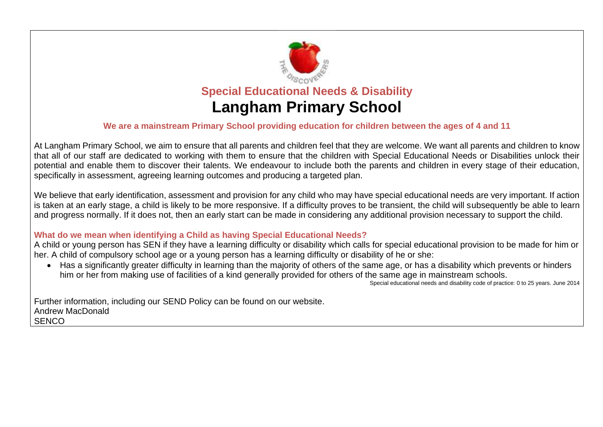

#### **We are a mainstream Primary School providing education for children between the ages of 4 and 11**

At Langham Primary School, we aim to ensure that all parents and children feel that they are welcome. We want all parents and children to know that all of our staff are dedicated to working with them to ensure that the children with Special Educational Needs or Disabilities unlock their potential and enable them to discover their talents. We endeavour to include both the parents and children in every stage of their education, specifically in assessment, agreeing learning outcomes and producing a targeted plan.

We believe that early identification, assessment and provision for any child who may have special educational needs are very important. If action is taken at an early stage, a child is likely to be more responsive. If a difficulty proves to be transient, the child will subsequently be able to learn and progress normally. If it does not, then an early start can be made in considering any additional provision necessary to support the child.

#### **What do we mean when identifying a Child as having Special Educational Needs?**

A child or young person has SEN if they have a learning difficulty or disability which calls for special educational provision to be made for him or her. A child of compulsory school age or a young person has a learning difficulty or disability of he or she:

• Has a significantly greater difficulty in learning than the majority of others of the same age, or has a disability which prevents or hinders him or her from making use of facilities of a kind generally provided for others of the same age in mainstream schools.

Special educational needs and disability code of practice: 0 to 25 years. June 2014

Further information, including our SEND Policy can be found on our website. Andrew MacDonald **SENCO**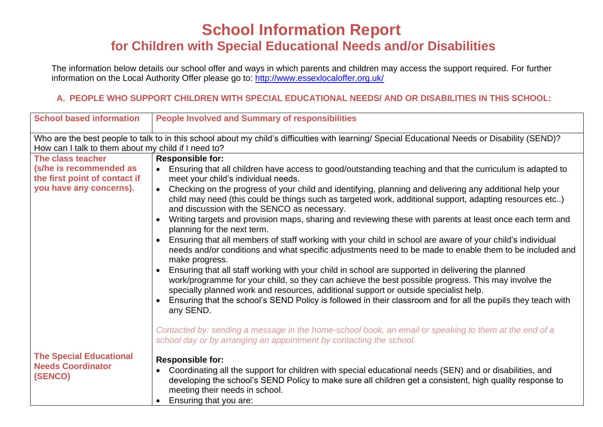# **School Information Report for Children with Special Educational Needs and/or Disabilities**

The information below details our school offer and ways in which parents and children may access the support required. For further information on the Local Authority Offer please go to:<http://www.essexlocaloffer.org.uk/>

## **A. PEOPLE WHO SUPPORT CHILDREN WITH SPECIAL EDUCATIONAL NEEDS/ AND OR DISABILITIES IN THIS SCHOOL:**

| <b>School based information</b>                          | <b>People Involved and Summary of responsibilities</b>                                                                                                                                                                                                                                           |  |
|----------------------------------------------------------|--------------------------------------------------------------------------------------------------------------------------------------------------------------------------------------------------------------------------------------------------------------------------------------------------|--|
| How can I talk to them about my child if I need to?      | Who are the best people to talk to in this school about my child's difficulties with learning/ Special Educational Needs or Disability (SEND)?                                                                                                                                                   |  |
| The class teacher                                        | <b>Responsible for:</b>                                                                                                                                                                                                                                                                          |  |
| (s/he is recommended as<br>the first point of contact if | Ensuring that all children have access to good/outstanding teaching and that the curriculum is adapted to<br>meet your child's individual needs.                                                                                                                                                 |  |
| you have any concerns).                                  | Checking on the progress of your child and identifying, planning and delivering any additional help your<br>$\bullet$<br>child may need (this could be things such as targeted work, additional support, adapting resources etc)<br>and discussion with the SENCO as necessary.                  |  |
|                                                          | Writing targets and provision maps, sharing and reviewing these with parents at least once each term and<br>$\bullet$<br>planning for the next term.                                                                                                                                             |  |
|                                                          | Ensuring that all members of staff working with your child in school are aware of your child's individual<br>$\bullet$<br>needs and/or conditions and what specific adjustments need to be made to enable them to be included and<br>make progress.                                              |  |
|                                                          | Ensuring that all staff working with your child in school are supported in delivering the planned<br>work/programme for your child, so they can achieve the best possible progress. This may involve the<br>specially planned work and resources, additional support or outside specialist help. |  |
|                                                          | Ensuring that the school's SEND Policy is followed in their classroom and for all the pupils they teach with<br>any SEND.                                                                                                                                                                        |  |
|                                                          | Contacted by: sending a message in the home-school book, an email or speaking to them at the end of a<br>school day or by arranging an appointment by contacting the school.                                                                                                                     |  |
| <b>The Special Educational</b>                           | <b>Responsible for:</b>                                                                                                                                                                                                                                                                          |  |
| <b>Needs Coordinator</b><br>(SENCO)                      | Coordinating all the support for children with special educational needs (SEN) and or disabilities, and<br>developing the school's SEND Policy to make sure all children get a consistent, high quality response to<br>meeting their needs in school.<br>Ensuring that you are:<br>$\bullet$     |  |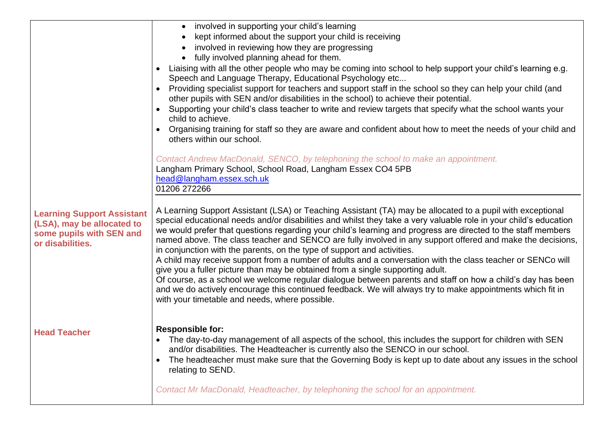|                                                        | involved in supporting your child's learning                                                                                                                                                                                       |  |
|--------------------------------------------------------|------------------------------------------------------------------------------------------------------------------------------------------------------------------------------------------------------------------------------------|--|
|                                                        | kept informed about the support your child is receiving                                                                                                                                                                            |  |
|                                                        | involved in reviewing how they are progressing                                                                                                                                                                                     |  |
|                                                        | fully involved planning ahead for them.                                                                                                                                                                                            |  |
|                                                        | Liaising with all the other people who may be coming into school to help support your child's learning e.g.<br>$\bullet$<br>Speech and Language Therapy, Educational Psychology etc                                                |  |
|                                                        | Providing specialist support for teachers and support staff in the school so they can help your child (and<br>other pupils with SEN and/or disabilities in the school) to achieve their potential.                                 |  |
|                                                        | Supporting your child's class teacher to write and review targets that specify what the school wants your<br>child to achieve.                                                                                                     |  |
|                                                        | Organising training for staff so they are aware and confident about how to meet the needs of your child and<br>$\bullet$<br>others within our school.                                                                              |  |
|                                                        | Contact Andrew MacDonald, SENCO, by telephoning the school to make an appointment.<br>Langham Primary School, School Road, Langham Essex CO4 5PB                                                                                   |  |
|                                                        | head@langham.essex.sch.uk                                                                                                                                                                                                          |  |
|                                                        | 01206 272266                                                                                                                                                                                                                       |  |
| <b>Learning Support Assistant</b>                      | A Learning Support Assistant (LSA) or Teaching Assistant (TA) may be allocated to a pupil with exceptional                                                                                                                         |  |
| (LSA), may be allocated to<br>some pupils with SEN and | special educational needs and/or disabilities and whilst they take a very valuable role in your child's education<br>we would prefer that questions regarding your child's learning and progress are directed to the staff members |  |
| or disabilities.                                       | named above. The class teacher and SENCO are fully involved in any support offered and make the decisions,                                                                                                                         |  |
|                                                        | in conjunction with the parents, on the type of support and activities.<br>A child may receive support from a number of adults and a conversation with the class teacher or SENCo will                                             |  |
|                                                        | give you a fuller picture than may be obtained from a single supporting adult.                                                                                                                                                     |  |
|                                                        | Of course, as a school we welcome regular dialogue between parents and staff on how a child's day has been                                                                                                                         |  |
|                                                        | and we do actively encourage this continued feedback. We will always try to make appointments which fit in                                                                                                                         |  |
|                                                        | with your timetable and needs, where possible.                                                                                                                                                                                     |  |
|                                                        | <b>Responsible for:</b>                                                                                                                                                                                                            |  |
| <b>Head Teacher</b>                                    | The day-to-day management of all aspects of the school, this includes the support for children with SEN                                                                                                                            |  |
|                                                        | and/or disabilities. The Headteacher is currently also the SENCO in our school.                                                                                                                                                    |  |
|                                                        | The headteacher must make sure that the Governing Body is kept up to date about any issues in the school<br>$\bullet$<br>relating to SEND.                                                                                         |  |
|                                                        | Contact Mr MacDonald, Headteacher, by telephoning the school for an appointment.                                                                                                                                                   |  |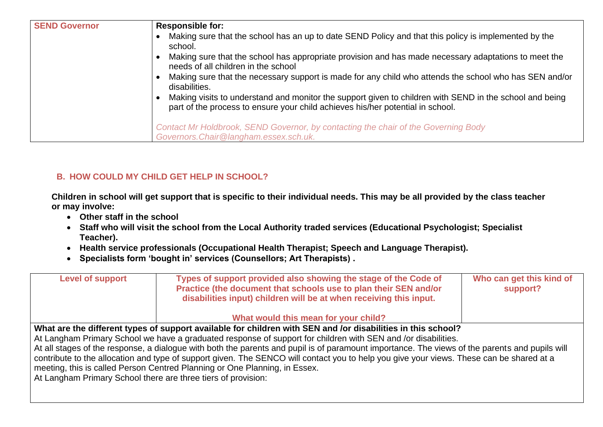| <b>SEND Governor</b> | <b>Responsible for:</b><br>Making sure that the school has an up to date SEND Policy and that this policy is implemented by the<br>school.<br>Making sure that the school has appropriate provision and has made necessary adaptations to meet the<br>needs of all children in the school<br>Making sure that the necessary support is made for any child who attends the school who has SEN and/or<br>disabilities.<br>Making visits to understand and monitor the support given to children with SEND in the school and being<br>part of the process to ensure your child achieves his/her potential in school. |
|----------------------|-------------------------------------------------------------------------------------------------------------------------------------------------------------------------------------------------------------------------------------------------------------------------------------------------------------------------------------------------------------------------------------------------------------------------------------------------------------------------------------------------------------------------------------------------------------------------------------------------------------------|
|                      | Contact Mr Holdbrook, SEND Governor, by contacting the chair of the Governing Body<br>Governors. Chair@langham.essex.sch.uk.                                                                                                                                                                                                                                                                                                                                                                                                                                                                                      |

# **B. HOW COULD MY CHILD GET HELP IN SCHOOL?**

**Children in school will get support that is specific to their individual needs. This may be all provided by the class teacher or may involve:** 

- **Other staff in the school**
- **Staff who will visit the school from the Local Authority traded services (Educational Psychologist; Specialist Teacher).**
- **Health service professionals (Occupational Health Therapist; Speech and Language Therapist).**
- **Specialists form 'bought in' services (Counsellors; Art Therapists) .**

| <b>Level of support</b>                                                                                                                        | Types of support provided also showing the stage of the Code of<br>Practice (the document that schools use to plan their SEN and/or<br>disabilities input) children will be at when receiving this input. | Who can get this kind of<br>support? |
|------------------------------------------------------------------------------------------------------------------------------------------------|-----------------------------------------------------------------------------------------------------------------------------------------------------------------------------------------------------------|--------------------------------------|
|                                                                                                                                                | What would this mean for your child?                                                                                                                                                                      |                                      |
| What are the different types of support available for children with SEN and /or disabilities in this school?                                   |                                                                                                                                                                                                           |                                      |
| At Langham Primary School we have a graduated response of support for children with SEN and /or disabilities.                                  |                                                                                                                                                                                                           |                                      |
| At all stages of the response, a dialogue with both the parents and pupil is of paramount importance. The views of the parents and pupils will |                                                                                                                                                                                                           |                                      |
|                                                                                                                                                | contribute to the allocation and type of support given. The SENCO will contact you to help you give your views. These can be shared at a                                                                  |                                      |
| meeting, this is called Person Centred Planning or One Planning, in Essex.                                                                     |                                                                                                                                                                                                           |                                      |
| At Langham Primary School there are three tiers of provision:                                                                                  |                                                                                                                                                                                                           |                                      |
|                                                                                                                                                |                                                                                                                                                                                                           |                                      |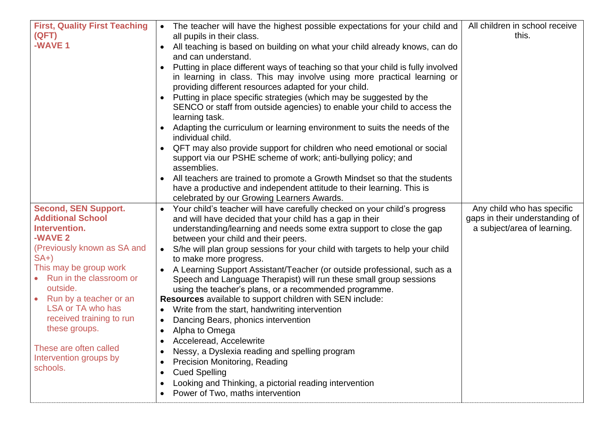| <b>First, Quality First Teaching</b><br>(QFT)<br>-WAVE 1                                                                                                                                                                                                                                                                                                   | The teacher will have the highest possible expectations for your child and<br>$\bullet$<br>all pupils in their class.<br>All teaching is based on building on what your child already knows, can do<br>$\bullet$<br>and can understand.<br>Putting in place different ways of teaching so that your child is fully involved<br>$\bullet$<br>in learning in class. This may involve using more practical learning or<br>providing different resources adapted for your child.<br>Putting in place specific strategies (which may be suggested by the<br>$\bullet$<br>SENCO or staff from outside agencies) to enable your child to access the<br>learning task.<br>Adapting the curriculum or learning environment to suits the needs of the<br>individual child.<br>QFT may also provide support for children who need emotional or social<br>$\bullet$<br>support via our PSHE scheme of work; anti-bullying policy; and<br>assemblies.<br>All teachers are trained to promote a Growth Mindset so that the students<br>$\bullet$<br>have a productive and independent attitude to their learning. This is<br>celebrated by our Growing Learners Awards. | All children in school receive<br>this.                                                     |
|------------------------------------------------------------------------------------------------------------------------------------------------------------------------------------------------------------------------------------------------------------------------------------------------------------------------------------------------------------|-----------------------------------------------------------------------------------------------------------------------------------------------------------------------------------------------------------------------------------------------------------------------------------------------------------------------------------------------------------------------------------------------------------------------------------------------------------------------------------------------------------------------------------------------------------------------------------------------------------------------------------------------------------------------------------------------------------------------------------------------------------------------------------------------------------------------------------------------------------------------------------------------------------------------------------------------------------------------------------------------------------------------------------------------------------------------------------------------------------------------------------------------------------|---------------------------------------------------------------------------------------------|
| <b>Second, SEN Support.</b><br><b>Additional School</b><br>Intervention.<br>-WAVE 2<br>(Previously known as SA and<br>$SA+$<br>This may be group work<br>Run in the classroom or<br>outside.<br>• Run by a teacher or an<br>LSA or TA who has<br>received training to run<br>these groups.<br>These are often called<br>Intervention groups by<br>schools. | Your child's teacher will have carefully checked on your child's progress<br>$\bullet$<br>and will have decided that your child has a gap in their<br>understanding/learning and needs some extra support to close the gap<br>between your child and their peers.<br>S/he will plan group sessions for your child with targets to help your child<br>$\bullet$<br>to make more progress.<br>A Learning Support Assistant/Teacher (or outside professional, such as a<br>Speech and Language Therapist) will run these small group sessions<br>using the teacher's plans, or a recommended programme.<br>Resources available to support children with SEN include:<br>Write from the start, handwriting intervention<br>$\bullet$<br>Dancing Bears, phonics intervention<br>$\bullet$<br>Alpha to Omega<br>Acceleread, Accelewrite<br>$\bullet$<br>Nessy, a Dyslexia reading and spelling program<br>$\bullet$<br><b>Precision Monitoring, Reading</b><br>$\bullet$<br><b>Cued Spelling</b><br>$\bullet$<br>Looking and Thinking, a pictorial reading intervention<br>$\bullet$<br>Power of Two, maths intervention                                        | Any child who has specific<br>gaps in their understanding of<br>a subject/area of learning. |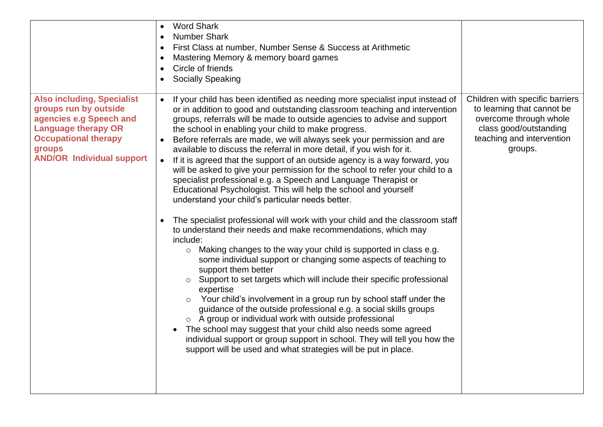|                                                                                                                                                                                                  | <b>Word Shark</b><br><b>Number Shark</b><br>First Class at number, Number Sense & Success at Arithmetic<br>Mastering Memory & memory board games<br>Circle of friends<br><b>Socially Speaking</b><br>$\bullet$                                                                                                                                                                                                                                                                                                                                                                                                                                                                                                                                                                                                                                                                                                                                                                                                                                                                                                                                                                                                                                                                                                                                                                                                                                                                                                                                                                                                                                                                                     |                                                                                                                                                           |
|--------------------------------------------------------------------------------------------------------------------------------------------------------------------------------------------------|----------------------------------------------------------------------------------------------------------------------------------------------------------------------------------------------------------------------------------------------------------------------------------------------------------------------------------------------------------------------------------------------------------------------------------------------------------------------------------------------------------------------------------------------------------------------------------------------------------------------------------------------------------------------------------------------------------------------------------------------------------------------------------------------------------------------------------------------------------------------------------------------------------------------------------------------------------------------------------------------------------------------------------------------------------------------------------------------------------------------------------------------------------------------------------------------------------------------------------------------------------------------------------------------------------------------------------------------------------------------------------------------------------------------------------------------------------------------------------------------------------------------------------------------------------------------------------------------------------------------------------------------------------------------------------------------------|-----------------------------------------------------------------------------------------------------------------------------------------------------------|
| <b>Also including, Specialist</b><br>groups run by outside<br>agencies e.g Speech and<br><b>Language therapy OR</b><br><b>Occupational therapy</b><br>groups<br><b>AND/OR Individual support</b> | If your child has been identified as needing more specialist input instead of<br>$\bullet$<br>or in addition to good and outstanding classroom teaching and intervention<br>groups, referrals will be made to outside agencies to advise and support<br>the school in enabling your child to make progress.<br>Before referrals are made, we will always seek your permission and are<br>available to discuss the referral in more detail, if you wish for it.<br>If it is agreed that the support of an outside agency is a way forward, you<br>will be asked to give your permission for the school to refer your child to a<br>specialist professional e.g. a Speech and Language Therapist or<br>Educational Psychologist. This will help the school and yourself<br>understand your child's particular needs better.<br>The specialist professional will work with your child and the classroom staff<br>$\bullet$<br>to understand their needs and make recommendations, which may<br>include:<br>Making changes to the way your child is supported in class e.g.<br>$\circ$<br>some individual support or changing some aspects of teaching to<br>support them better<br>Support to set targets which will include their specific professional<br>expertise<br>Your child's involvement in a group run by school staff under the<br>guidance of the outside professional e.g. a social skills groups<br>o A group or individual work with outside professional<br>The school may suggest that your child also needs some agreed<br>$\bullet$<br>individual support or group support in school. They will tell you how the<br>support will be used and what strategies will be put in place. | Children with specific barriers<br>to learning that cannot be<br>overcome through whole<br>class good/outstanding<br>teaching and intervention<br>groups. |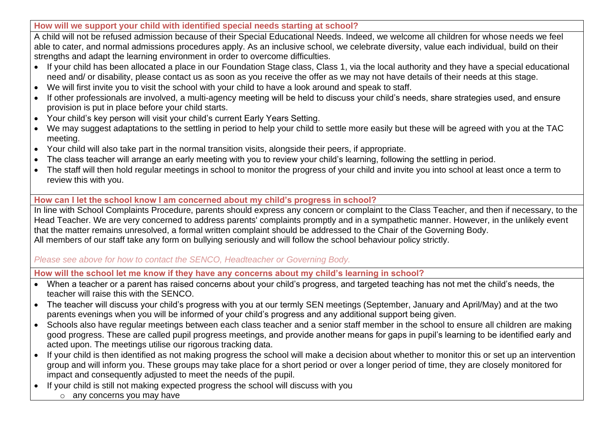**How will we support your child with identified special needs starting at school?** 

A child will not be refused admission because of their Special Educational Needs. Indeed, we welcome all children for whose needs we feel able to cater, and normal admissions procedures apply. As an inclusive school, we celebrate diversity, value each individual, build on their strengths and adapt the learning environment in order to overcome difficulties.

- If your child has been allocated a place in our Foundation Stage class, Class 1, via the local authority and they have a special educational need and/ or disability, please contact us as soon as you receive the offer as we may not have details of their needs at this stage.
- We will first invite you to visit the school with your child to have a look around and speak to staff.
- If other professionals are involved, a multi-agency meeting will be held to discuss your child's needs, share strategies used, and ensure provision is put in place before your child starts.
- Your child's key person will visit your child's current Early Years Setting.
- We may suggest adaptations to the settling in period to help your child to settle more easily but these will be agreed with you at the TAC meeting.
- Your child will also take part in the normal transition visits, alongside their peers, if appropriate.
- The class teacher will arrange an early meeting with you to review your child's learning, following the settling in period.
- The staff will then hold regular meetings in school to monitor the progress of your child and invite you into school at least once a term to review this with you.

## **How can I let the school know I am concerned about my child's progress in school?**

In line with School Complaints Procedure, parents should express any concern or complaint to the Class Teacher, and then if necessary, to the Head Teacher. We are very concerned to address parents' complaints promptly and in a sympathetic manner. However, in the unlikely event that the matter remains unresolved, a formal written complaint should be addressed to the Chair of the Governing Body. All members of our staff take any form on bullying seriously and will follow the school behaviour policy strictly.

*Please see above for how to contact the SENCO, Headteacher or Governing Body.*

**How will the school let me know if they have any concerns about my child's learning in school?**

- When a teacher or a parent has raised concerns about your child's progress, and targeted teaching has not met the child's needs, the teacher will raise this with the SENCO.
- The teacher will discuss your child's progress with you at our termly SEN meetings (September, January and April/May) and at the two parents evenings when you will be informed of your child's progress and any additional support being given.
- Schools also have regular meetings between each class teacher and a senior staff member in the school to ensure all children are making good progress. These are called pupil progress meetings, and provide another means for gaps in pupil's learning to be identified early and acted upon. The meetings utilise our rigorous tracking data.
- If your child is then identified as not making progress the school will make a decision about whether to monitor this or set up an intervention group and will inform you. These groups may take place for a short period or over a longer period of time, they are closely monitored for impact and consequently adjusted to meet the needs of the pupil.
- If your child is still not making expected progress the school will discuss with you
	- o any concerns you may have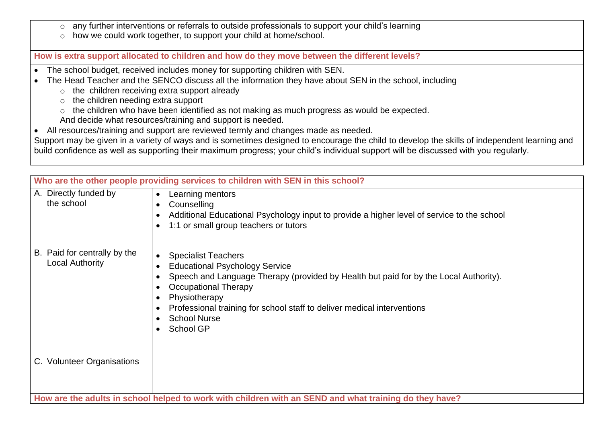- o any further interventions or referrals to outside professionals to support your child's learning
- o how we could work together, to support your child at home/school.

**How is extra support allocated to children and how do they move between the different levels?**

- The school budget, received includes money for supporting children with SEN.
- The Head Teacher and the SENCO discuss all the information they have about SEN in the school, including
	- o the children receiving extra support already
	- $\circ$  the children needing extra support
	- o the children who have been identified as not making as much progress as would be expected.
	- And decide what resources/training and support is needed.
- All resources/training and support are reviewed termly and changes made as needed.

Support may be given in a variety of ways and is sometimes designed to encourage the child to develop the skills of independent learning and build confidence as well as supporting their maximum progress; your child's individual support will be discussed with you regularly.

| Who are the other people providing services to children with SEN in this school? |                                                                                                                                                                                                                                                                                                                                    |
|----------------------------------------------------------------------------------|------------------------------------------------------------------------------------------------------------------------------------------------------------------------------------------------------------------------------------------------------------------------------------------------------------------------------------|
| A. Directly funded by<br>the school                                              | Learning mentors<br>$\bullet$<br>Counselling<br>$\bullet$<br>Additional Educational Psychology input to provide a higher level of service to the school<br>1:1 or small group teachers or tutors                                                                                                                                   |
| B. Paid for centrally by the<br><b>Local Authority</b>                           | <b>Specialist Teachers</b><br><b>Educational Psychology Service</b><br>Speech and Language Therapy (provided by Health but paid for by the Local Authority).<br><b>Occupational Therapy</b><br>Physiotherapy<br>Professional training for school staff to deliver medical interventions<br><b>School Nurse</b><br><b>School GP</b> |
| C. Volunteer Organisations                                                       |                                                                                                                                                                                                                                                                                                                                    |
|                                                                                  | How are the adults in school helped to work with children with an SEND and what training do they have?                                                                                                                                                                                                                             |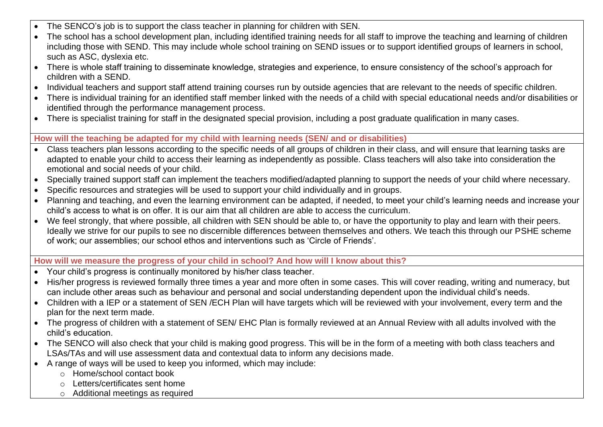- The SENCO's job is to support the class teacher in planning for children with SEN.
- The school has a school development plan, including identified training needs for all staff to improve the teaching and learning of children including those with SEND. This may include whole school training on SEND issues or to support identified groups of learners in school, such as ASC, dyslexia etc.
- There is whole staff training to disseminate knowledge, strategies and experience, to ensure consistency of the school's approach for children with a SEND.
- Individual teachers and support staff attend training courses run by outside agencies that are relevant to the needs of specific children.
- There is individual training for an identified staff member linked with the needs of a child with special educational needs and/or disabilities or identified through the performance management process.
- There is specialist training for staff in the designated special provision, including a post graduate qualification in many cases.

## **How will the teaching be adapted for my child with learning needs (SEN/ and or disabilities)**

- Class teachers plan lessons according to the specific needs of all groups of children in their class, and will ensure that learning tasks are adapted to enable your child to access their learning as independently as possible. Class teachers will also take into consideration the emotional and social needs of your child.
- Specially trained support staff can implement the teachers modified/adapted planning to support the needs of your child where necessary.
- Specific resources and strategies will be used to support your child individually and in groups.
- Planning and teaching, and even the learning environment can be adapted, if needed, to meet your child's learning needs and increase your child's access to what is on offer. It is our aim that all children are able to access the curriculum.
- We feel strongly, that where possible, all children with SEN should be able to, or have the opportunity to play and learn with their peers. Ideally we strive for our pupils to see no discernible differences between themselves and others. We teach this through our PSHE scheme of work; our assemblies; our school ethos and interventions such as 'Circle of Friends'.

#### **How will we measure the progress of your child in school? And how will I know about this?**

- Your child's progress is continually monitored by his/her class teacher.
- His/her progress is reviewed formally three times a vear and more often in some cases. This will cover reading, writing and numeracy, but can include other areas such as behaviour and personal and social understanding dependent upon the individual child's needs.
- Children with a IEP or a statement of SEN /ECH Plan will have targets which will be reviewed with your involvement, every term and the plan for the next term made.
- The progress of children with a statement of SEN/ EHC Plan is formally reviewed at an Annual Review with all adults involved with the child's education.
- The SENCO will also check that your child is making good progress. This will be in the form of a meeting with both class teachers and LSAs/TAs and will use assessment data and contextual data to inform any decisions made.
- A range of ways will be used to keep you informed, which may include:
	- o Home/school contact book
	- o Letters/certificates sent home
	- o Additional meetings as required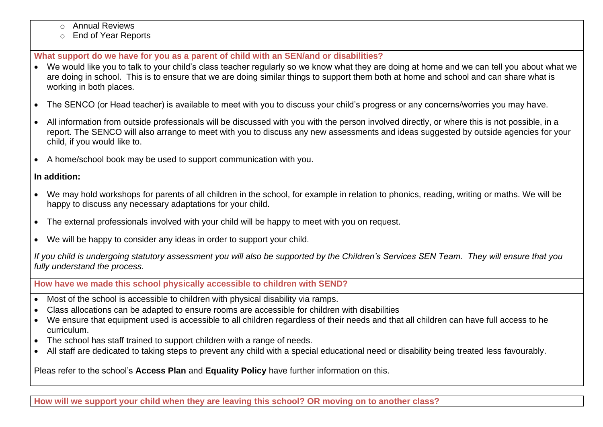- o Annual Reviews
- o End of Year Reports

**What support do we have for you as a parent of child with an SEN/and or disabilities?**

- We would like you to talk to your child's class teacher regularly so we know what they are doing at home and we can tell you about what we are doing in school. This is to ensure that we are doing similar things to support them both at home and school and can share what is working in both places.
- The SENCO (or Head teacher) is available to meet with you to discuss your child's progress or any concerns/worries you may have.
- All information from outside professionals will be discussed with you with the person involved directly, or where this is not possible, in a report. The SENCO will also arrange to meet with you to discuss any new assessments and ideas suggested by outside agencies for your child, if you would like to.
- A home/school book may be used to support communication with you.

# **In addition:**

- We may hold workshops for parents of all children in the school, for example in relation to phonics, reading, writing or maths. We will be happy to discuss any necessary adaptations for your child.
- The external professionals involved with your child will be happy to meet with you on request.
- We will be happy to consider any ideas in order to support your child.

*If you child is undergoing statutory assessment you will also be supported by the Children's Services SEN Team. They will ensure that you fully understand the process.*

**How have we made this school physically accessible to children with SEND?** 

- Most of the school is accessible to children with physical disability via ramps.
- Class allocations can be adapted to ensure rooms are accessible for children with disabilities
- We ensure that equipment used is accessible to all children regardless of their needs and that all children can have full access to he curriculum.
- The school has staff trained to support children with a range of needs.
- All staff are dedicated to taking steps to prevent any child with a special educational need or disability being treated less favourably.

Pleas refer to the school's **Access Plan** and **Equality Policy** have further information on this.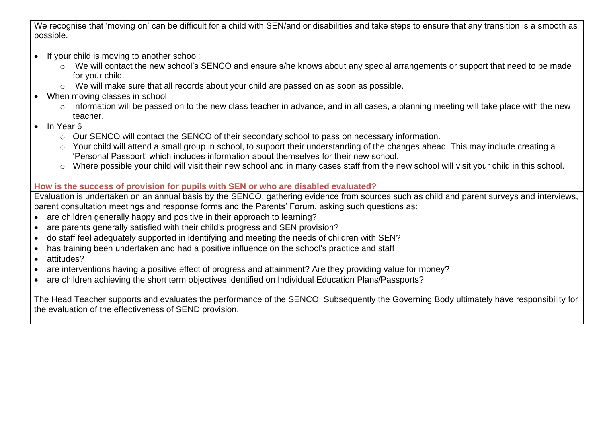We recognise that 'moving on' can be difficult for a child with SEN/and or disabilities and take steps to ensure that any transition is a smooth as possible.

- If your child is moving to another school:
	- o We will contact the new school's SENCO and ensure s/he knows about any special arrangements or support that need to be made for your child.
	- o We will make sure that all records about your child are passed on as soon as possible.
- When moving classes in school:
	- o Information will be passed on to the new class teacher in advance, and in all cases, a planning meeting will take place with the new teacher.
- In Year 6
	- o Our SENCO will contact the SENCO of their secondary school to pass on necessary information.
	- o Your child will attend a small group in school, to support their understanding of the changes ahead. This may include creating a 'Personal Passport' which includes information about themselves for their new school.
	- o Where possible your child will visit their new school and in many cases staff from the new school will visit your child in this school.

# **How is the success of provision for pupils with SEN or who are disabled evaluated?**

Evaluation is undertaken on an annual basis by the SENCO, gathering evidence from sources such as child and parent surveys and interviews, parent consultation meetings and response forms and the Parents' Forum, asking such questions as:

- are children generally happy and positive in their approach to learning?
- are parents generally satisfied with their child's progress and SEN provision?
- do staff feel adequately supported in identifying and meeting the needs of children with SEN?
- has training been undertaken and had a positive influence on the school's practice and staff
- attitudes?
- are interventions having a positive effect of progress and attainment? Are they providing value for money?
- are children achieving the short term objectives identified on Individual Education Plans/Passports?

The Head Teacher supports and evaluates the performance of the SENCO. Subsequently the Governing Body ultimately have responsibility for the evaluation of the effectiveness of SEND provision.